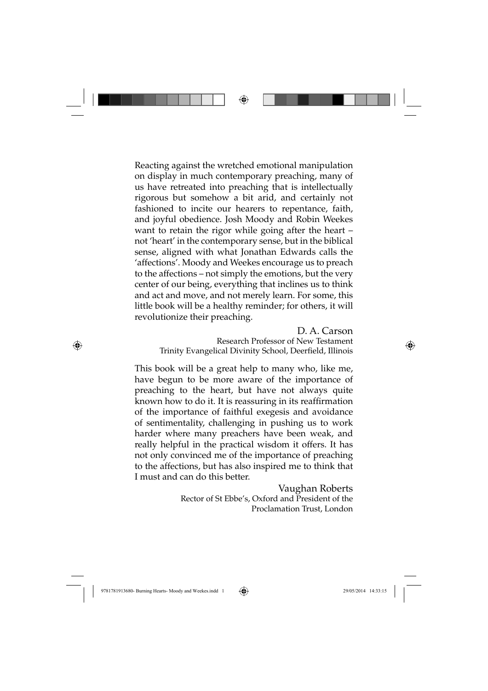Reacting against the wretched emotional manipulation on display in much contemporary preaching, many of us have retreated into preaching that is intellectually rigorous but somehow a bit arid, and certainly not fashioned to incite our hearers to repentance, faith, and joyful obedience. Josh Moody and Robin Weekes want to retain the rigor while going after the heart – not 'heart' in the contemporary sense, but in the biblical sense, aligned with what Jonathan Edwards calls the 'affections'. Moody and Weekes encourage us to preach to the affections – not simply the emotions, but the very center of our being, everything that inclines us to think and act and move, and not merely learn. For some, this little book will be a healthy reminder; for others, it will revolutionize their preaching.

> D. A. Carson Research Professor of New Testament Trinity Evangelical Divinity School, Deerfield, Illinois

This book will be a great help to many who, like me, have begun to be more aware of the importance of preaching to the heart, but have not always quite known how to do it. It is reassuring in its reaffirmation of the importance of faithful exegesis and avoidance of sentimentality, challenging in pushing us to work harder where many preachers have been weak, and really helpful in the practical wisdom it offers. It has not only convinced me of the importance of preaching to the affections, but has also inspired me to think that I must and can do this better.

Vaughan Roberts

Rector of St Ebbe's, Oxford and President of the Proclamation Trust, London

⊕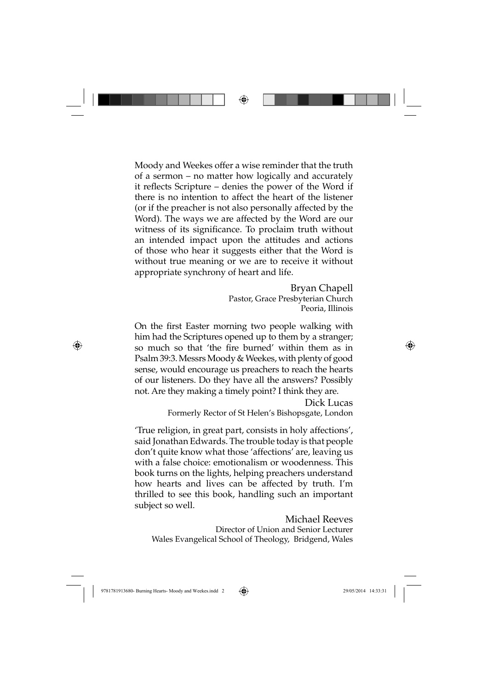Moody and Weekes offer a wise reminder that the truth of a sermon – no matter how logically and accurately it reflects Scripture – denies the power of the Word if there is no intention to affect the heart of the listener (or if the preacher is not also personally affected by the Word). The ways we are affected by the Word are our witness of its significance. To proclaim truth without an intended impact upon the attitudes and actions of those who hear it suggests either that the Word is without true meaning or we are to receive it without appropriate synchrony of heart and life.

> Bryan Chapell Pastor, Grace Presbyterian Church Peoria, Illinois

On the first Easter morning two people walking with him had the Scriptures opened up to them by a stranger; so much so that 'the fire burned' within them as in Psalm 39:3. Messrs Moody & Weekes, with plenty of good sense, would encourage us preachers to reach the hearts of our listeners. Do they have all the answers? Possibly not. Are they making a timely point? I think they are.

Dick Lucas

Formerly Rector of St Helen's Bishopsgate, London

'True religion, in great part, consists in holy affections', said Jonathan Edwards. The trouble today is that people don't quite know what those 'affections' are, leaving us with a false choice: emotionalism or woodenness. This book turns on the lights, helping preachers understand how hearts and lives can be affected by truth. I'm thrilled to see this book, handling such an important subject so well.

Michael Reeves

Director of Union and Senior Lecturer Wales Evangelical School of Theology, Bridgend, Wales

⊕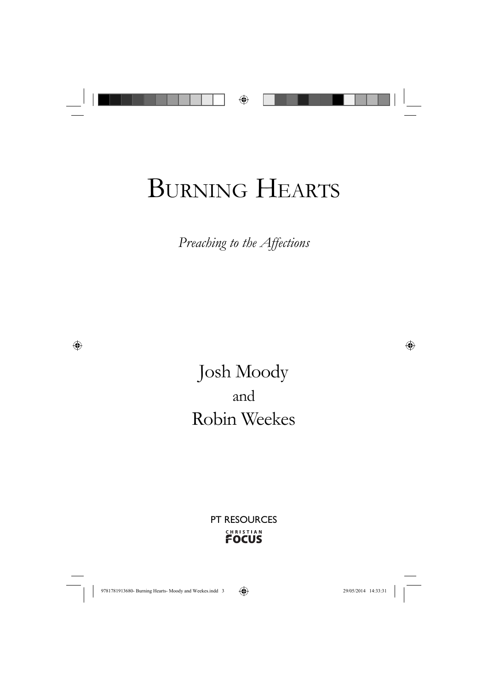

# BURNING HEARTS

*Preaching to the Affections*

Josh Moody and Robin Weekes

> PT RESOURCES CHRISTIAN<br>**FOCUS**

 $\bigoplus$ 

 $\bigoplus$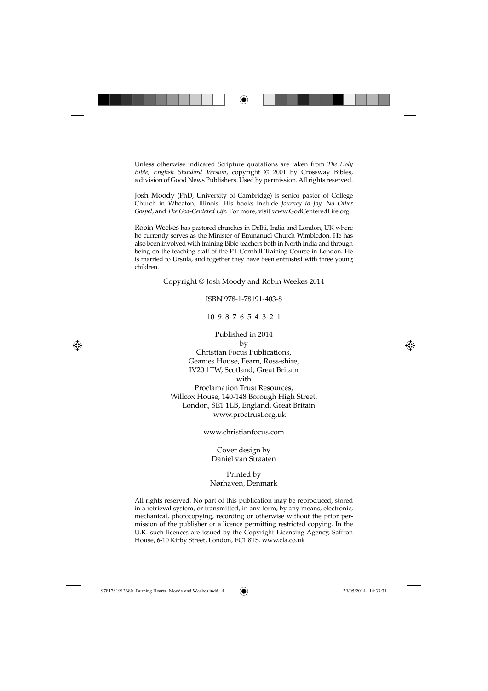Unless otherwise indicated Scripture quotations are taken from *The Holy Bible, English Standard Version*, copyright © 2001 by Crossway Bibles, a division of Good News Publishers. Used by permission. All rights reserved.

Josh Moody (PhD, University of Cambridge) is senior pastor of College Church in Wheaton, Illinois. His books include *Journey to Joy*, *No Other Gospel*, and *The God-Centered Life.* For more, visit www.GodCenteredLife.org.

Robin Weekes has pastored churches in Delhi, India and London, UK where he currently serves as the Minister of Emmanuel Church Wimbledon. He has also been involved with training Bible teachers both in North India and through being on the teaching staff of the PT Cornhill Training Course in London. He is married to Ursula, and together they have been entrusted with three young children.

Copyright © Josh Moody and Robin Weekes 2014

ISBN 978-1-78191-403-8

10 9 8 7 6 5 4 3 2 1

Published in 2014

by Christian Focus Publications, Geanies House, Fearn, Ross-shire, IV20 1TW, Scotland, Great Britain with Proclamation Trust Resources, Willcox House, 140-148 Borough High Street, London, SE1 1LB, England, Great Britain. www.proctrust.org.uk

www.christianfocus.com

Cover design by Daniel van Straaten

#### Printed by Nørhaven, Denmark

All rights reserved. No part of this publication may be reproduced, stored in a retrieval system, or transmitted, in any form, by any means, electronic, mechanical, photocopying, recording or otherwise without the prior permission of the publisher or a licence permitting restricted copying. In the U.K. such licences are issued by the Copyright Licensing Agency, Saffron House, 6-10 Kirby Street, London, EC1 8TS. www.cla.co.uk

⊕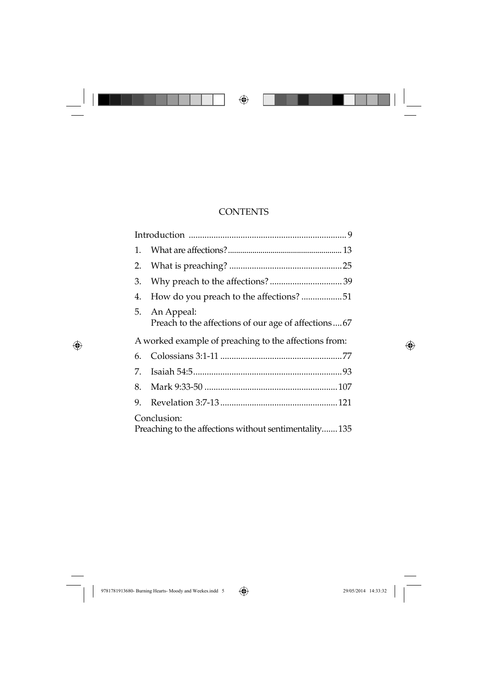|--|

### **CONTENTS**

| 1.                                                                   |                                                                   |  |  |  |
|----------------------------------------------------------------------|-------------------------------------------------------------------|--|--|--|
|                                                                      |                                                                   |  |  |  |
| 3.                                                                   |                                                                   |  |  |  |
| 4.                                                                   | How do you preach to the affections? 51                           |  |  |  |
| 5.                                                                   | An Appeal:<br>Preach to the affections of our age of affections67 |  |  |  |
|                                                                      | A worked example of preaching to the affections from:             |  |  |  |
| 6.                                                                   |                                                                   |  |  |  |
| 7.                                                                   |                                                                   |  |  |  |
| 8.                                                                   |                                                                   |  |  |  |
| 9.                                                                   |                                                                   |  |  |  |
| Conclusion:<br>Preaching to the affections without sentimentality135 |                                                                   |  |  |  |

# $\bigoplus$

9781781913680- Burning Hearts- Moody and Weekes.indd 5 781781913680- 29/05/2014 14:33:32 9/05/2014 14:33:32 9/05/2014 14:33:32 9/05/2014 14:33:32 9/05/2014 14:33:32 9/05/2014 14:33:32 9/05/2014 14:33:32 9/05/2014 14:33:32

 $\bigoplus$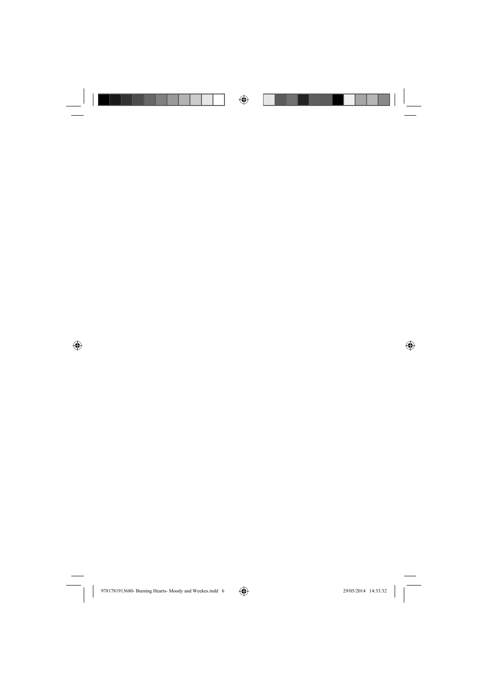|             | n i                                                    | $\Box$ | $\bigoplus$ |                     |                          |
|-------------|--------------------------------------------------------|--------|-------------|---------------------|--------------------------|
|             |                                                        |        |             |                     |                          |
|             |                                                        |        |             |                     |                          |
|             |                                                        |        |             |                     |                          |
|             |                                                        |        |             |                     |                          |
|             |                                                        |        |             |                     |                          |
| $\bigoplus$ |                                                        |        |             |                     | $\bigoplus$              |
|             |                                                        |        |             |                     |                          |
|             |                                                        |        |             |                     |                          |
|             |                                                        |        |             |                     |                          |
|             |                                                        |        |             |                     |                          |
|             |                                                        |        |             |                     |                          |
|             | 9781781913680- Burning Hearts- Moody and Weekes.indd 6 |        | $\bigcirc$  | 29/05/2014 14:33:32 | $\overline{\phantom{a}}$ |
|             |                                                        |        |             |                     |                          |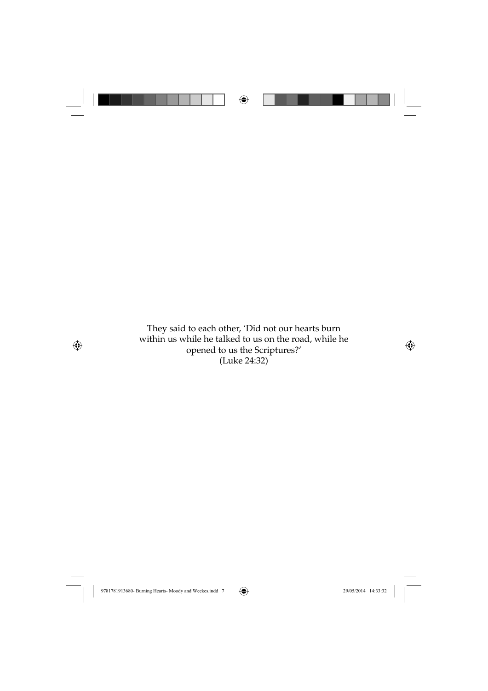

They said to each other, 'Did not our hearts burn within us while he talked to us on the road, while he opened to us the Scriptures?' (Luke 24:32)

 $\bigoplus$ 

9781781913680- Burning Hearts- Moody and Weekes.indd 7 29/05/2014 14:33:32

 $\bigoplus$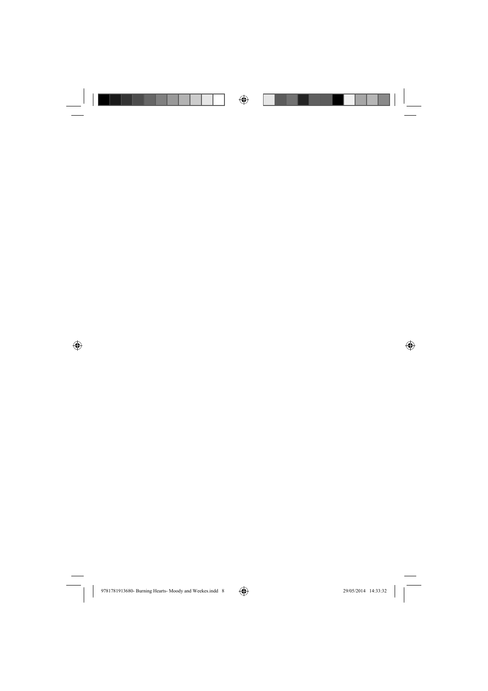|             | n T                                                    | $\Box$<br>$\bigoplus$ |                     |             |
|-------------|--------------------------------------------------------|-----------------------|---------------------|-------------|
|             |                                                        |                       |                     |             |
|             |                                                        |                       |                     |             |
|             |                                                        |                       |                     |             |
|             |                                                        |                       |                     |             |
|             |                                                        |                       |                     |             |
| $\bigoplus$ |                                                        |                       |                     | $\bigoplus$ |
|             |                                                        |                       |                     |             |
|             |                                                        |                       |                     |             |
|             |                                                        |                       |                     |             |
|             |                                                        |                       |                     |             |
|             |                                                        |                       |                     |             |
|             | 9781781913680- Burning Hearts- Moody and Weekes.indd 8 | $\bigoplus$           | 29/05/2014 14:33:32 | $\sqrt{2}$  |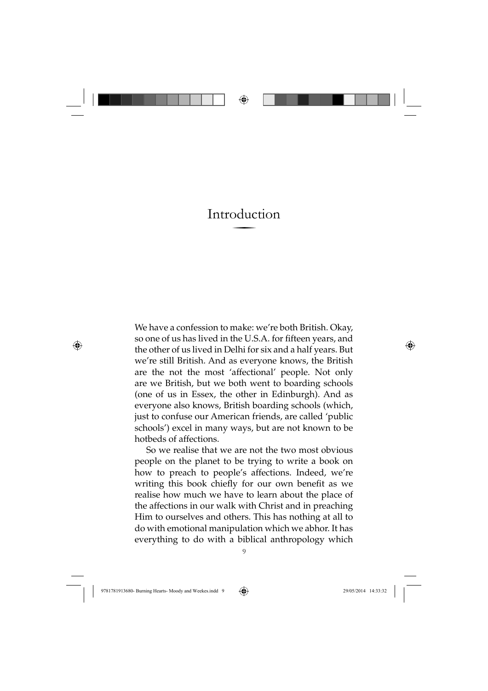

# Introduction

We have a confession to make: we're both British. Okay, so one of us has lived in the U.S.A. for fifteen years, and the other of us lived in Delhi for six and a half years. But we're still British. And as everyone knows, the British are the not the most 'affectional' people. Not only are we British, but we both went to boarding schools (one of us in Essex, the other in Edinburgh). And as everyone also knows, British boarding schools (which, just to confuse our American friends, are called 'public schools') excel in many ways, but are not known to be hotbeds of affections.

So we realise that we are not the two most obvious people on the planet to be trying to write a book on how to preach to people's affections. Indeed, we're writing this book chiefly for our own benefit as we realise how much we have to learn about the place of the affections in our walk with Christ and in preaching Him to ourselves and others. This has nothing at all to do with emotional manipulation which we abhor. It has everything to do with a biblical anthropology which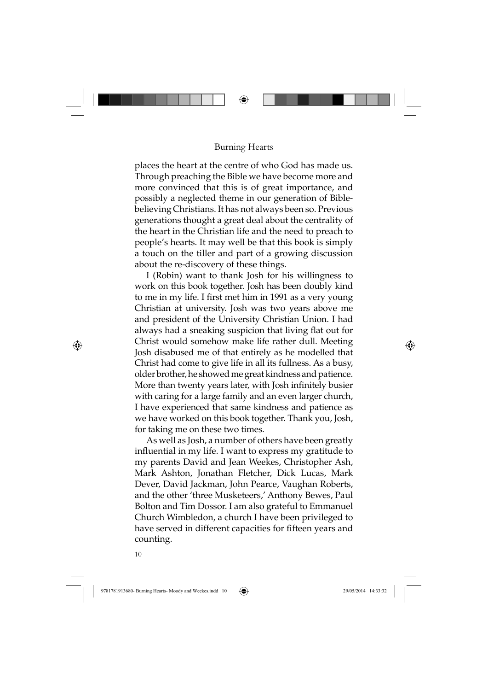

#### Burning Hearts

places the heart at the centre of who God has made us. Through preaching the Bible we have become more and more convinced that this is of great importance, and possibly a neglected theme in our generation of Biblebelieving Christians. It has not always been so. Previous generations thought a great deal about the centrality of the heart in the Christian life and the need to preach to people's hearts. It may well be that this book is simply a touch on the tiller and part of a growing discussion about the re-discovery of these things.

I (Robin) want to thank Josh for his willingness to work on this book together. Josh has been doubly kind to me in my life. I first met him in 1991 as a very young Christian at university. Josh was two years above me and president of the University Christian Union. I had always had a sneaking suspicion that living flat out for Christ would somehow make life rather dull. Meeting Josh disabused me of that entirely as he modelled that Christ had come to give life in all its fullness. As a busy, older brother, he showed me great kindness and patience. More than twenty years later, with Josh infinitely busier with caring for a large family and an even larger church, I have experienced that same kindness and patience as we have worked on this book together. Thank you, Josh, for taking me on these two times.

As well as Josh, a number of others have been greatly influential in my life. I want to express my gratitude to my parents David and Jean Weekes, Christopher Ash, Mark Ashton, Jonathan Fletcher, Dick Lucas, Mark Dever, David Jackman, John Pearce, Vaughan Roberts, and the other 'three Musketeers,' Anthony Bewes, Paul Bolton and Tim Dossor. I am also grateful to Emmanuel Church Wimbledon, a church I have been privileged to have served in different capacities for fifteen years and counting.

10

⊕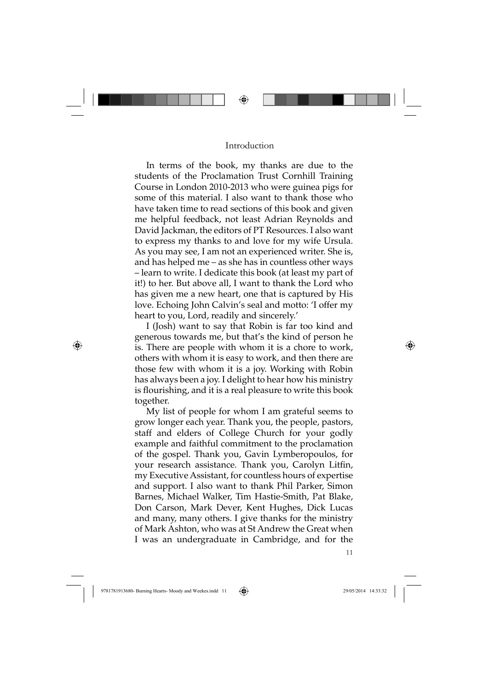#### Introduction

In terms of the book, my thanks are due to the students of the Proclamation Trust Cornhill Training Course in London 2010-2013 who were guinea pigs for some of this material. I also want to thank those who have taken time to read sections of this book and given me helpful feedback, not least Adrian Reynolds and David Jackman, the editors of PT Resources. I also want to express my thanks to and love for my wife Ursula. As you may see, I am not an experienced writer. She is, and has helped me – as she has in countless other ways – learn to write. I dedicate this book (at least my part of it!) to her. But above all, I want to thank the Lord who has given me a new heart, one that is captured by His love. Echoing John Calvin's seal and motto: 'I offer my heart to you, Lord, readily and sincerely.'

I (Josh) want to say that Robin is far too kind and generous towards me, but that's the kind of person he is. There are people with whom it is a chore to work, others with whom it is easy to work, and then there are those few with whom it is a joy. Working with Robin has always been a joy. I delight to hear how his ministry is flourishing, and it is a real pleasure to write this book together.

My list of people for whom I am grateful seems to grow longer each year. Thank you, the people, pastors, staff and elders of College Church for your godly example and faithful commitment to the proclamation of the gospel. Thank you, Gavin Lymberopoulos, for your research assistance. Thank you, Carolyn Litfin, my Executive Assistant, for countless hours of expertise and support. I also want to thank Phil Parker, Simon Barnes, Michael Walker, Tim Hastie-Smith, Pat Blake, Don Carson, Mark Dever, Kent Hughes, Dick Lucas and many, many others. I give thanks for the ministry of Mark Ashton, who was at St Andrew the Great when I was an undergraduate in Cambridge, and for the

11

◈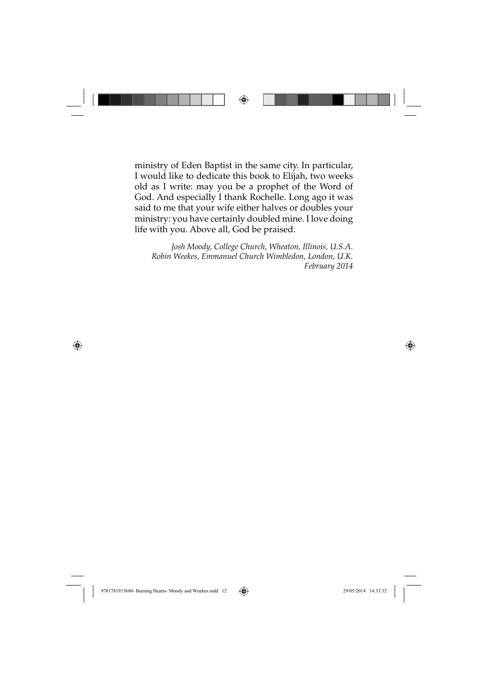|  | ٠ |                 |
|--|---|-----------------|
|  |   | The contract of |

ministry of Eden Baptist in the same city. In particular, I would like to dedicate this book to Elijah, two weeks old as I write: may you be a prophet of the Word of God. And especially I thank Rochelle. Long ago it was said to me that your wife either halves or doubles your ministry: you have certainly doubled mine. I love doing life with you. Above all, God be praised.

*Josh Moody, College Church, Wheaton, Illinois, U.S.A. Robin Weekes, Emmanuel Church Wimbledon, London, U.K. February 2014*

9781781913680- Burning Hearts- Moody and Weekes.indd 12  $\bigoplus$  9/05/2014 14:33:32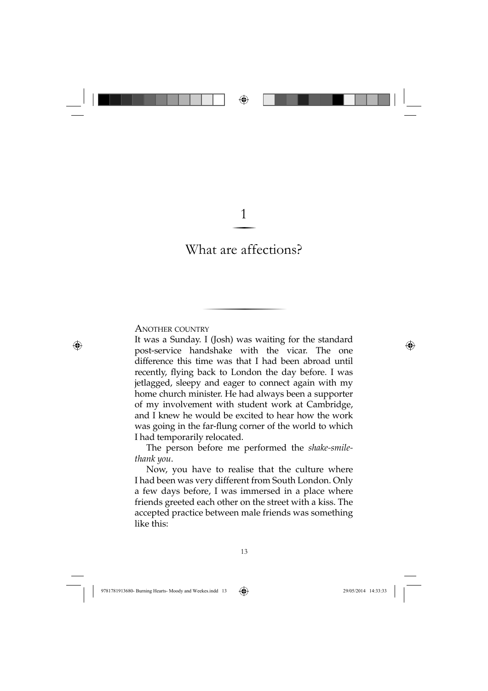1

# What are affections?

ANOTHER COUNTRY

⊕

It was a Sunday. I (Josh) was waiting for the standard post-service handshake with the vicar. The one difference this time was that I had been abroad until recently, flying back to London the day before. I was jetlagged, sleepy and eager to connect again with my home church minister. He had always been a supporter of my involvement with student work at Cambridge, and I knew he would be excited to hear how the work was going in the far-flung corner of the world to which I had temporarily relocated.

The person before me performed the *shake-smilethank you*.

Now, you have to realise that the culture where I had been was very different from South London. Only a few days before, I was immersed in a place where friends greeted each other on the street with a kiss. The accepted practice between male friends was something like this: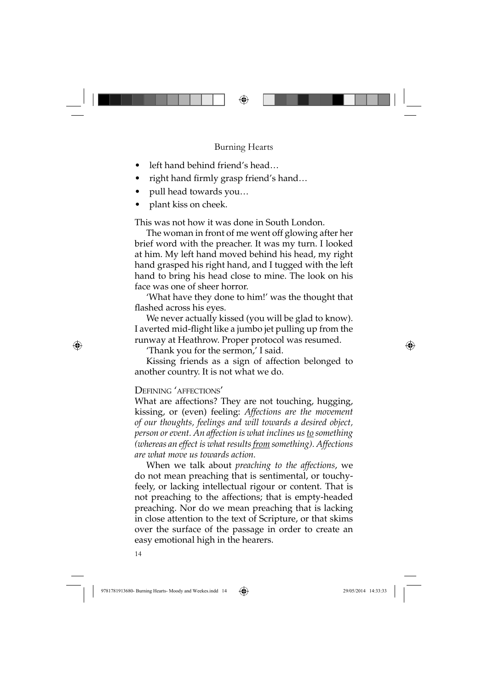#### Burning Hearts

- left hand behind friend's head…
- right hand firmly grasp friend's hand...
- pull head towards you…
- plant kiss on cheek.

This was not how it was done in South London.

The woman in front of me went off glowing after her brief word with the preacher. It was my turn. I looked at him. My left hand moved behind his head, my right hand grasped his right hand, and I tugged with the left hand to bring his head close to mine. The look on his face was one of sheer horror.

'What have they done to him!' was the thought that flashed across his eyes.

We never actually kissed (you will be glad to know). I averted mid-flight like a jumbo jet pulling up from the runway at Heathrow. Proper protocol was resumed.

'Thank you for the sermon,' I said.

Kissing friends as a sign of affection belonged to another country. It is not what we do.

#### DEFINING 'AFFECTIONS'

What are affections? They are not touching, hugging, kissing, or (even) feeling: *Affections are the movement of our thoughts, feelings and will towards a desired object, person or event. An affection is what inclines us to something (whereas an effect is what results from something). Affections are what move us towards action.* 

When we talk about *preaching to the affections*, we do not mean preaching that is sentimental, or touchyfeely, or lacking intellectual rigour or content. That is not preaching to the affections; that is empty-headed preaching. Nor do we mean preaching that is lacking in close attention to the text of Scripture, or that skims over the surface of the passage in order to create an easy emotional high in the hearers.

14

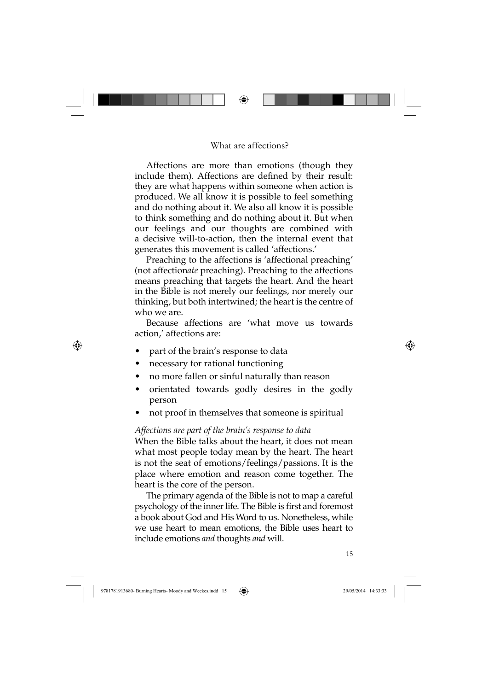

#### What are affections?

Affections are more than emotions (though they include them). Affections are defined by their result: they are what happens within someone when action is produced. We all know it is possible to feel something and do nothing about it. We also all know it is possible to think something and do nothing about it. But when our feelings and our thoughts are combined with a decisive will-to-action, then the internal event that generates this movement is called 'affections.'

Preaching to the affections is 'affectional preaching' (not affection*ate* preaching). Preaching to the affections means preaching that targets the heart. And the heart in the Bible is not merely our feelings, nor merely our thinking, but both intertwined; the heart is the centre of who we are.

Because affections are 'what move us towards action,' affections are:

part of the brain's response to data

⊕

- necessary for rational functioning
- no more fallen or sinful naturally than reason
- orientated towards godly desires in the godly person
- not proof in themselves that someone is spiritual

#### *Affections are part of the brain's response to data*

When the Bible talks about the heart, it does not mean what most people today mean by the heart. The heart is not the seat of emotions/feelings/passions. It is the place where emotion and reason come together. The heart is the core of the person.

The primary agenda of the Bible is not to map a careful psychology of the inner life. The Bible is first and foremost a book about God and His Word to us. Nonetheless, while we use heart to mean emotions, the Bible uses heart to include emotions *and* thoughts *and* will.

15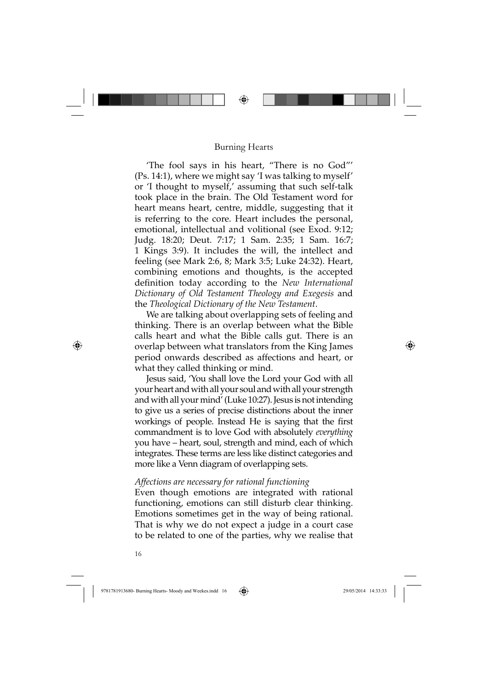#### Burning Hearts

⊕

'The fool says in his heart, "There is no God"' (Ps. 14:1), where we might say 'I was talking to myself' or 'I thought to myself,' assuming that such self-talk took place in the brain. The Old Testament word for heart means heart, centre, middle, suggesting that it is referring to the core. Heart includes the personal, emotional, intellectual and volitional (see Exod. 9:12; Judg. 18:20; Deut. 7:17; 1 Sam. 2:35; 1 Sam. 16:7; 1 Kings 3:9). It includes the will, the intellect and feeling (see Mark 2:6, 8; Mark 3:5; Luke 24:32). Heart, combining emotions and thoughts, is the accepted definition today according to the *New International Dictionary of Old Testament Theology and Exegesis* and the *Theological Dictionary of the New Testament*.

We are talking about overlapping sets of feeling and thinking. There is an overlap between what the Bible calls heart and what the Bible calls gut. There is an overlap between what translators from the King James period onwards described as affections and heart, or what they called thinking or mind.

Jesus said, 'You shall love the Lord your God with all your heart and with all your soul and with all your strength and with all your mind' (Luke 10:27). Jesus is not intending to give us a series of precise distinctions about the inner workings of people. Instead He is saying that the first commandment is to love God with absolutely *everything* you have – heart, soul, strength and mind, each of which integrates. These terms are less like distinct categories and more like a Venn diagram of overlapping sets.

#### *Affections are necessary for rational functioning*

Even though emotions are integrated with rational functioning, emotions can still disturb clear thinking. Emotions sometimes get in the way of being rational. That is why we do not expect a judge in a court case to be related to one of the parties, why we realise that

16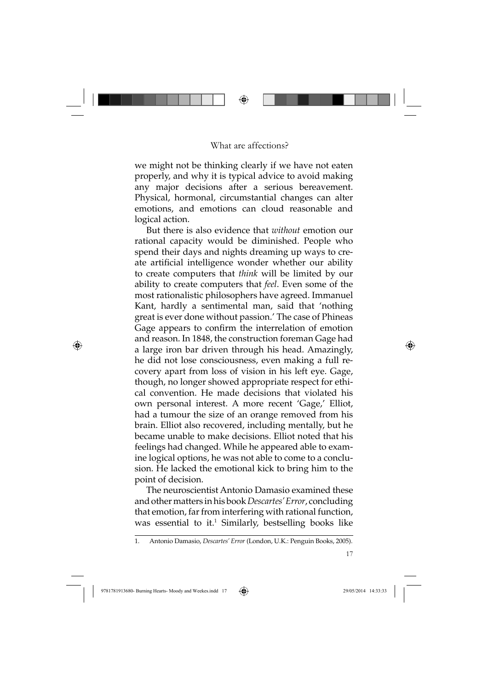

#### What are affections?

we might not be thinking clearly if we have not eaten properly, and why it is typical advice to avoid making any major decisions after a serious bereavement. Physical, hormonal, circumstantial changes can alter emotions, and emotions can cloud reasonable and logical action.

But there is also evidence that *without* emotion our rational capacity would be diminished. People who spend their days and nights dreaming up ways to create artificial intelligence wonder whether our ability to create computers that *think* will be limited by our ability to create computers that *feel*. Even some of the most rationalistic philosophers have agreed. Immanuel Kant, hardly a sentimental man, said that 'nothing great is ever done without passion.' The case of Phineas Gage appears to confirm the interrelation of emotion and reason. In 1848, the construction foreman Gage had a large iron bar driven through his head. Amazingly, he did not lose consciousness, even making a full recovery apart from loss of vision in his left eye. Gage, though, no longer showed appropriate respect for ethical convention. He made decisions that violated his own personal interest. A more recent 'Gage,' Elliot, had a tumour the size of an orange removed from his brain. Elliot also recovered, including mentally, but he became unable to make decisions. Elliot noted that his feelings had changed. While he appeared able to examine logical options, he was not able to come to a conclusion. He lacked the emotional kick to bring him to the point of decision.

The neuroscientist Antonio Damasio examined these and other matters in his book *Descartes' Error*, concluding that emotion, far from interfering with rational function, was essential to it.<sup>1</sup> Similarly, bestselling books like

17

⊕

<sup>1.</sup> Antonio Damasio, *Descartes' Error* (London, U.K.: Penguin Books, 2005).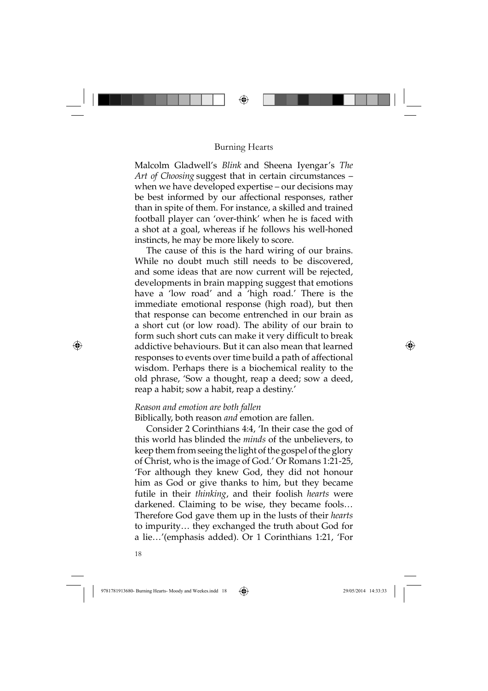#### Burning Hearts

Malcolm Gladwell's *Blink* and Sheena Iyengar's *The Art of Choosing* suggest that in certain circumstances – when we have developed expertise – our decisions may be best informed by our affectional responses, rather than in spite of them. For instance, a skilled and trained football player can 'over-think' when he is faced with a shot at a goal, whereas if he follows his well-honed instincts, he may be more likely to score.

The cause of this is the hard wiring of our brains. While no doubt much still needs to be discovered, and some ideas that are now current will be rejected, developments in brain mapping suggest that emotions have a 'low road' and a 'high road.' There is the immediate emotional response (high road), but then that response can become entrenched in our brain as a short cut (or low road). The ability of our brain to form such short cuts can make it very difficult to break addictive behaviours. But it can also mean that learned responses to events over time build a path of affectional wisdom. Perhaps there is a biochemical reality to the old phrase, 'Sow a thought, reap a deed; sow a deed, reap a habit; sow a habit, reap a destiny.'

#### *Reason and emotion are both fallen*

Biblically, both reason *and* emotion are fallen.

Consider 2 Corinthians 4:4, 'In their case the god of this world has blinded the *minds* of the unbelievers, to keep them from seeing the light of the gospel of the glory of Christ, who is the image of God.' Or Romans 1:21-25, 'For although they knew God, they did not honour him as God or give thanks to him, but they became futile in their *thinking*, and their foolish *hearts* were darkened. Claiming to be wise, they became fools… Therefore God gave them up in the lusts of their *hearts* to impurity… they exchanged the truth about God for a lie…'(emphasis added). Or 1 Corinthians 1:21, 'For

18

⊕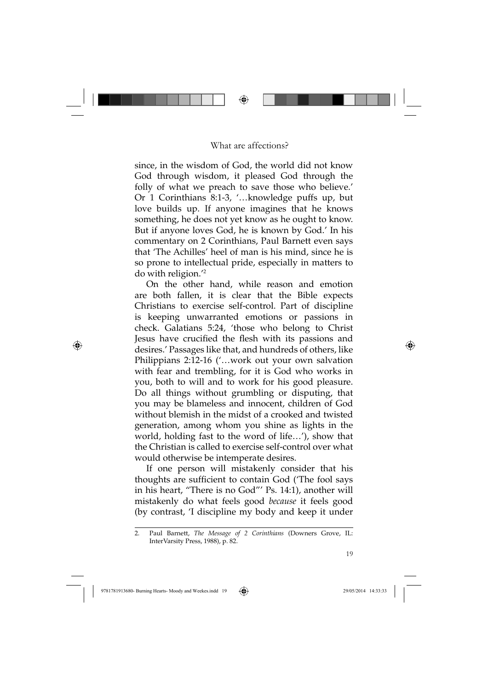

#### What are affections?

since, in the wisdom of God, the world did not know God through wisdom, it pleased God through the folly of what we preach to save those who believe.' Or 1 Corinthians 8:1-3, '…knowledge puffs up, but love builds up. If anyone imagines that he knows something, he does not yet know as he ought to know. But if anyone loves God, he is known by God.' In his commentary on 2 Corinthians, Paul Barnett even says that 'The Achilles' heel of man is his mind, since he is so prone to intellectual pride, especially in matters to do with religion.'2

On the other hand, while reason and emotion are both fallen, it is clear that the Bible expects Christians to exercise self-control. Part of discipline is keeping unwarranted emotions or passions in check. Galatians 5:24, 'those who belong to Christ Jesus have crucified the flesh with its passions and desires.' Passages like that, and hundreds of others, like Philippians 2:12-16 ('…work out your own salvation with fear and trembling, for it is God who works in you, both to will and to work for his good pleasure. Do all things without grumbling or disputing, that you may be blameless and innocent, children of God without blemish in the midst of a crooked and twisted generation, among whom you shine as lights in the world, holding fast to the word of life…'), show that the Christian is called to exercise self-control over what would otherwise be intemperate desires.

If one person will mistakenly consider that his thoughts are sufficient to contain God ('The fool says in his heart, "There is no God"' Ps. 14:1), another will mistakenly do what feels good *because* it feels good (by contrast, 'I discipline my body and keep it under

19

⊕

<sup>2.</sup> Paul Barnett, *The Message of 2 Corinthians* (Downers Grove, IL: InterVarsity Press, 1988), p. 82.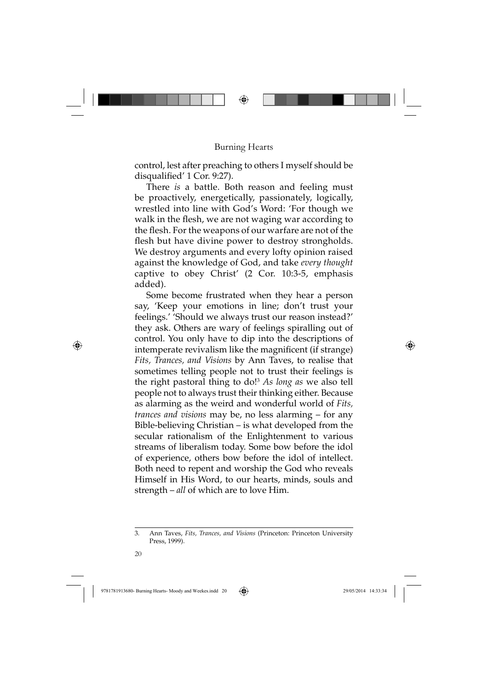#### Burning Hearts

⊕

control, lest after preaching to others I myself should be disqualified' 1 Cor. 9:27).

There *is* a battle. Both reason and feeling must be proactively, energetically, passionately, logically, wrestled into line with God's Word: 'For though we walk in the flesh, we are not waging war according to the flesh. For the weapons of our warfare are not of the flesh but have divine power to destroy strongholds. We destroy arguments and every lofty opinion raised against the knowledge of God, and take *every thought* captive to obey Christ' (2 Cor. 10:3-5, emphasis added).

Some become frustrated when they hear a person say, 'Keep your emotions in line; don't trust your feelings.' 'Should we always trust our reason instead?' they ask. Others are wary of feelings spiralling out of control. You only have to dip into the descriptions of intemperate revivalism like the magnificent (if strange) *Fits, Trances, and Visions* by Ann Taves, to realise that sometimes telling people not to trust their feelings is the right pastoral thing to do!3 *As long as* we also tell people not to always trust their thinking either. Because as alarming as the weird and wonderful world of *Fits, trances and visions* may be, no less alarming – for any Bible-believing Christian – is what developed from the secular rationalism of the Enlightenment to various streams of liberalism today. Some bow before the idol of experience, others bow before the idol of intellect. Both need to repent and worship the God who reveals Himself in His Word, to our hearts, minds, souls and strength – *all* of which are to love Him.

 $20$ 

<sup>3.</sup> Ann Taves, *Fits, Trances, and Visions* (Princeton: Princeton University Press, 1999).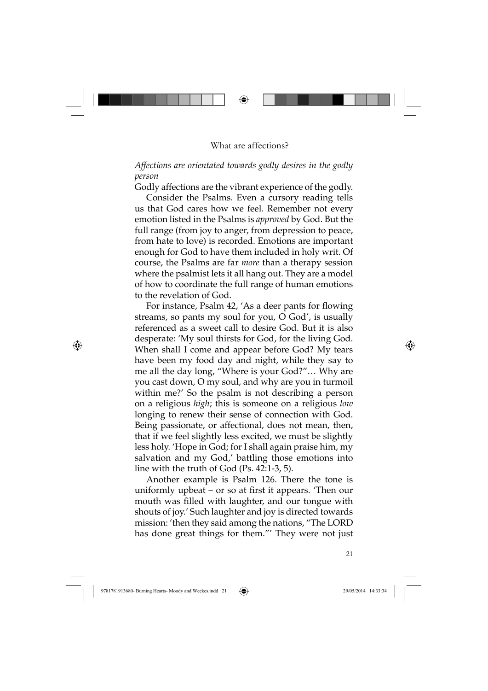#### What are affections?

*Affections are orientated towards godly desires in the godly person*

⊕

Godly affections are the vibrant experience of the godly.

Consider the Psalms. Even a cursory reading tells us that God cares how we feel. Remember not every emotion listed in the Psalms is *approved* by God. But the full range (from joy to anger, from depression to peace, from hate to love) is recorded. Emotions are important enough for God to have them included in holy writ. Of course, the Psalms are far *more* than a therapy session where the psalmist lets it all hang out. They are a model of how to coordinate the full range of human emotions to the revelation of God.

For instance, Psalm 42, 'As a deer pants for flowing streams, so pants my soul for you, O God', is usually referenced as a sweet call to desire God. But it is also desperate: 'My soul thirsts for God, for the living God. When shall I come and appear before God? My tears have been my food day and night, while they say to me all the day long, "Where is your God?"… Why are you cast down, O my soul, and why are you in turmoil within me?' So the psalm is not describing a person on a religious *high*; this is someone on a religious *low* longing to renew their sense of connection with God. Being passionate, or affectional, does not mean, then, that if we feel slightly less excited, we must be slightly less holy. 'Hope in God; for I shall again praise him, my salvation and my God,' battling those emotions into line with the truth of God (Ps. 42:1-3, 5).

Another example is Psalm 126. There the tone is uniformly upbeat  $-$  or so at first it appears. Then our mouth was filled with laughter, and our tongue with shouts of joy.' Such laughter and joy is directed towards mission: 'then they said among the nations, "The LORD has done great things for them."' They were not just

⊕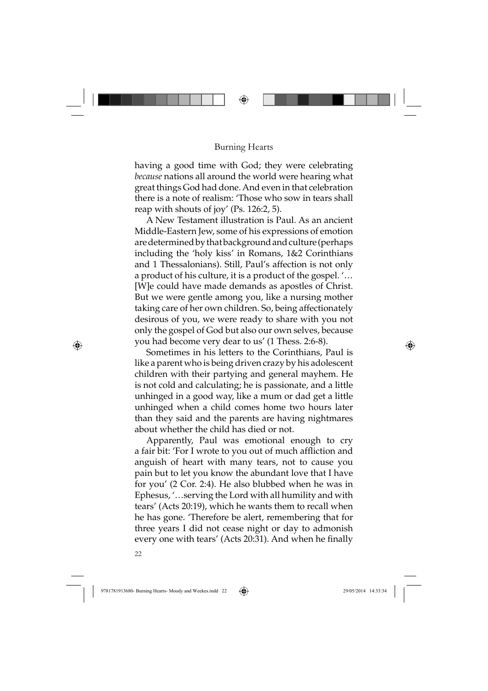#### Burning Hearts

having a good time with God; they were celebrating *because* nations all around the world were hearing what great things God had done. And even in that celebration there is a note of realism: 'Those who sow in tears shall reap with shouts of joy' (Ps. 126:2, 5).

A New Testament illustration is Paul. As an ancient Middle-Eastern Jew, some of his expressions of emotion are determined by that background and culture (perhaps including the 'holy kiss' in Romans, 1&2 Corinthians and 1 Thessalonians). Still, Paul's affection is not only a product of his culture, it is a product of the gospel. '… [W]e could have made demands as apostles of Christ. But we were gentle among you, like a nursing mother taking care of her own children. So, being affectionately desirous of you, we were ready to share with you not only the gospel of God but also our own selves, because you had become very dear to us' (1 Thess. 2:6-8).

Sometimes in his letters to the Corinthians, Paul is like a parent who is being driven crazy by his adolescent children with their partying and general mayhem. He is not cold and calculating; he is passionate, and a little unhinged in a good way, like a mum or dad get a little unhinged when a child comes home two hours later than they said and the parents are having nightmares about whether the child has died or not.

Apparently, Paul was emotional enough to cry a fair bit: 'For I wrote to you out of much affliction and anguish of heart with many tears, not to cause you pain but to let you know the abundant love that I have for you' (2 Cor. 2:4). He also blubbed when he was in Ephesus, '…serving the Lord with all humility and with tears' (Acts 20:19), which he wants them to recall when he has gone. 'Therefore be alert, remembering that for three years I did not cease night or day to admonish every one with tears' (Acts 20:31). And when he finally

 $22$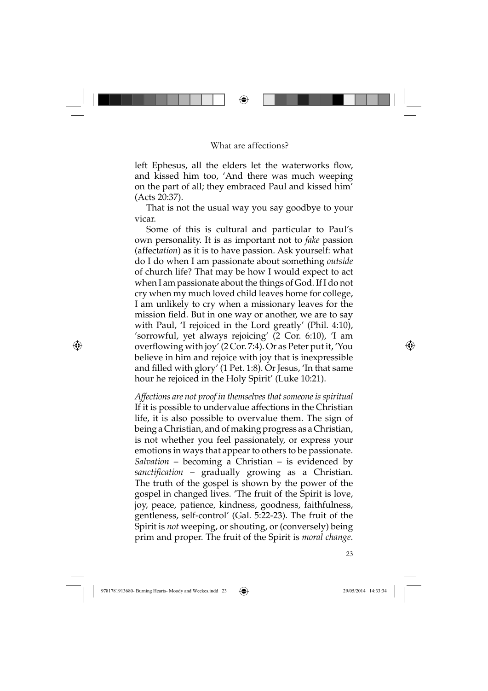#### What are affections?

⊕

left Ephesus, all the elders let the waterworks flow, and kissed him too, 'And there was much weeping on the part of all; they embraced Paul and kissed him' (Acts 20:37).

That is not the usual way you say goodbye to your vicar.

Some of this is cultural and particular to Paul's own personality. It is as important not to *fake* passion (affect*ation*) as it is to have passion. Ask yourself: what do I do when I am passionate about something *outside* of church life? That may be how I would expect to act when I am passionate about the things of God. If I do not cry when my much loved child leaves home for college, I am unlikely to cry when a missionary leaves for the mission field. But in one way or another, we are to say with Paul, 'I rejoiced in the Lord greatly' (Phil. 4:10), 'sorrowful, yet always rejoicing' (2 Cor. 6:10), 'I am overflowing with joy'  $(2\text{Cor. } 7:4)$ . Or as Peter put it, 'You believe in him and rejoice with joy that is inexpressible and filled with glory' (1 Pet. 1:8). Or Jesus, 'In that same hour he rejoiced in the Holy Spirit' (Luke 10:21).

*Affections are not proof in themselves that someone is spiritual* If it is possible to undervalue affections in the Christian life, it is also possible to overvalue them. The sign of being a Christian, and of making progress as a Christian, is not whether you feel passionately, or express your emotions in ways that appear to others to be passionate. *Salvation* – becoming a Christian – is evidenced by sanctification – gradually growing as a Christian. The truth of the gospel is shown by the power of the gospel in changed lives. 'The fruit of the Spirit is love, joy, peace, patience, kindness, goodness, faithfulness, gentleness, self-control' (Gal. 5:22-23). The fruit of the Spirit is *not* weeping, or shouting, or (conversely) being prim and proper. The fruit of the Spirit is *moral change*.

23

◈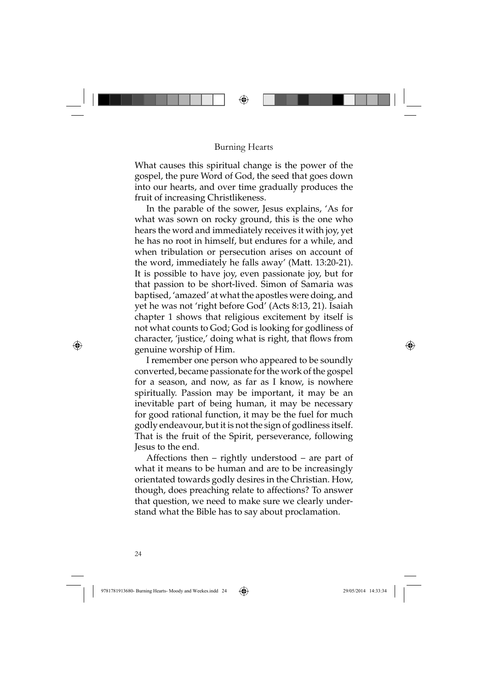#### Burning Hearts

What causes this spiritual change is the power of the gospel, the pure Word of God, the seed that goes down into our hearts, and over time gradually produces the fruit of increasing Christlikeness.

In the parable of the sower, Jesus explains, 'As for what was sown on rocky ground, this is the one who hears the word and immediately receives it with joy, yet he has no root in himself, but endures for a while, and when tribulation or persecution arises on account of the word, immediately he falls away' (Matt. 13:20-21). It is possible to have joy, even passionate joy, but for that passion to be short-lived. Simon of Samaria was baptised, 'amazed' at what the apostles were doing, and yet he was not 'right before God' (Acts 8:13, 21). Isaiah chapter 1 shows that religious excitement by itself is not what counts to God; God is looking for godliness of character, 'justice,' doing what is right, that flows from genuine worship of Him.

I remember one person who appeared to be soundly converted, became passionate for the work of the gospel for a season, and now, as far as I know, is nowhere spiritually. Passion may be important, it may be an inevitable part of being human, it may be necessary for good rational function, it may be the fuel for much godly endeavour, but it is not the sign of godliness itself. That is the fruit of the Spirit, perseverance, following Jesus to the end.

Affections then – rightly understood – are part of what it means to be human and are to be increasingly orientated towards godly desires in the Christian. How, though, does preaching relate to affections? To answer that question, we need to make sure we clearly understand what the Bible has to say about proclamation.

24

⊕

9781781913680- Burning Hearts- Moody and Weekes.indd 24  $\bigoplus$  29/05/2014 14:33:34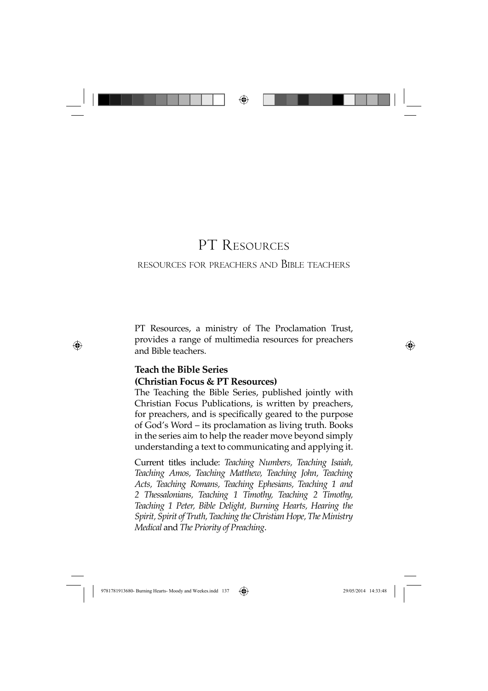

# PT RESOURCES

### RESOURCES FOR PREACHERS AND BIBLE TEACHERS

PT Resources, a ministry of The Proclamation Trust, provides a range of multimedia resources for preachers and Bible teachers.

⊕

#### **Teach the Bible Series**

⊕

#### **(Christian Focus & PT Resources)**

The Teaching the Bible Series, published jointly with Christian Focus Publications, is written by preachers, for preachers, and is specifically geared to the purpose of God's Word – its proclamation as living truth. Books in the series aim to help the reader move beyond simply understanding a text to communicating and applying it.

Current titles include: *Teaching Numbers, Teaching Isaiah, Teaching Amos, Teaching Matthew, Teaching John, Teaching Acts, Teaching Romans, Teaching Ephesians, Teaching 1 and 2 Thessalonians, Teaching 1 Timothy, Teaching 2 Timothy, Teaching 1 Peter, Bible Delight, Burning Hearts, Hearing the Spirit, Spirit of Truth, Teaching the Christian Hope, The Ministry Medical* and *The Priority of Preaching*.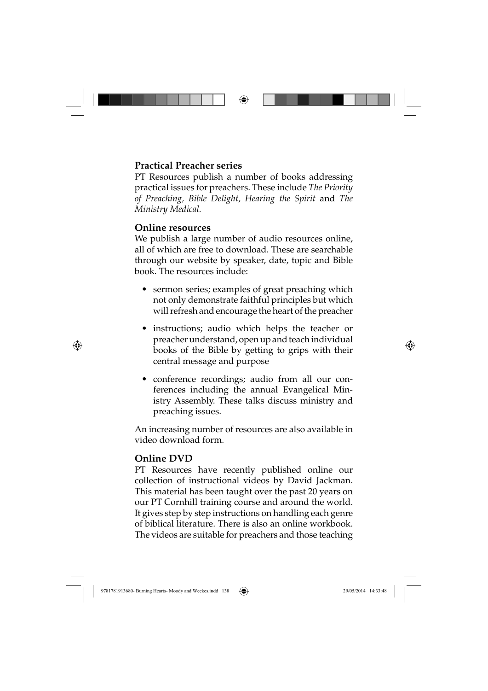#### **Practical Preacher series**

PT Resources publish a number of books addressing practical issues for preachers. These include *The Priority of Preaching, Bible Delight, Hearing the Spirit* and *The Ministry Medical.*

⊕

#### **Online resources**

We publish a large number of audio resources online, all of which are free to download. These are searchable through our website by speaker, date, topic and Bible book. The resources include:

- sermon series; examples of great preaching which not only demonstrate faithful principles but which will refresh and encourage the heart of the preacher
- instructions; audio which helps the teacher or preacher understand, open up and teach individual books of the Bible by getting to grips with their central message and purpose
- conference recordings; audio from all our conferences including the annual Evangelical Ministry Assembly. These talks discuss ministry and preaching issues.

An increasing number of resources are also available in video download form.

#### **Online DVD**

⊕

PT Resources have recently published online our collection of instructional videos by David Jackman. This material has been taught over the past 20 years on our PT Cornhill training course and around the world. It gives step by step instructions on handling each genre of biblical literature. There is also an online workbook. The videos are suitable for preachers and those teaching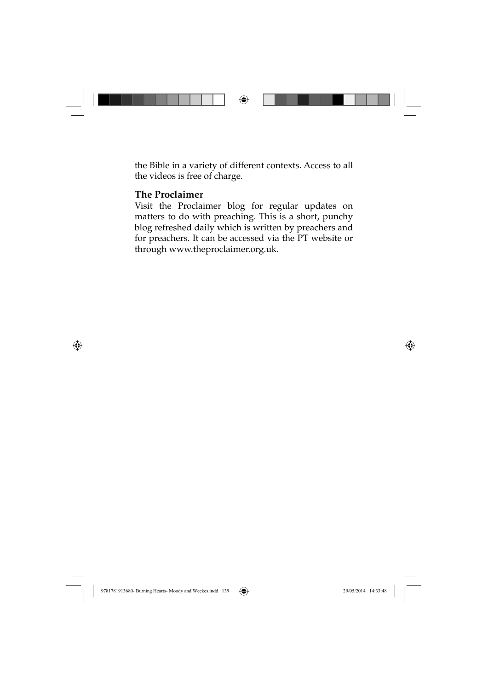

the Bible in a variety of different contexts. Access to all the videos is free of charge.

#### **The Proclaimer**

Visit the Proclaimer blog for regular updates on matters to do with preaching. This is a short, punchy blog refreshed daily which is written by preachers and for preachers. It can be accessed via the PT website or through www.theproclaimer.org.uk.

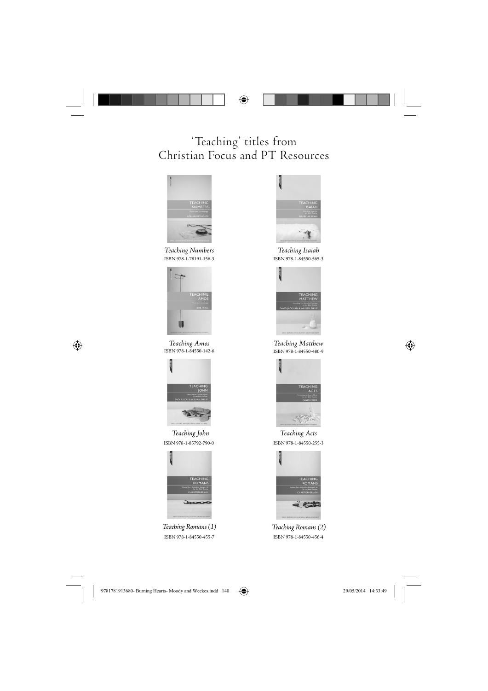

'Teaching' titles from Christian Focus and PT Resources



Teaching Numbers<br>ISBN 978-1-78191-156-3



Teaching Amos<br>15BN 978-1-84550-142-6



Teaching John Teaching Acts



ISBN 978-1-84550-455-7 ISBN 978-1-84550-456-4 Teaching Romans (1) Teaching Romans (2)



ISBN 978-1-84550-565-3 Teaching Isaiah



Teaching Matthew<br>ISBN 978-1-84550-480-9



ISBN 978-1-85792-790-0 ISBN 978-1-84550-255-3





 $\bigoplus$ 

9781781913680- Burning Hearts- Moody and Weekes.indd 140  $\bigoplus$  29/05/2014 14:33:49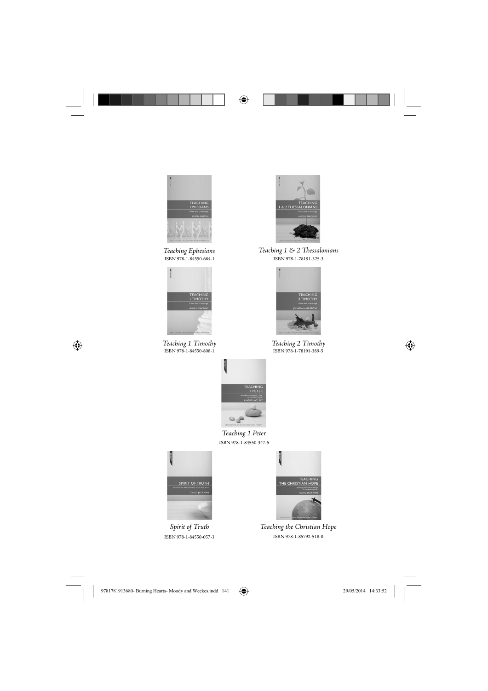$\bigoplus$ 



Teaching Ephesians<br>ISBN 978-1-84550-684-1



Teaching 1 Timothy<br>ISBN 978-1-84550-808-1

 $\bigoplus$ 



Teaching Ephesians Teaching 1 & 2 T essalonians ISBN 978-1-78191-325-3



Teaching 2 Timothy ISBN 978-1-78191-389-5





ISBN 978-1-84550-347-5 Teaching 1 Peter



ISBN 978-1-84550-057-3 Spirit of Truth



ISBN 978-1-85792-518-0 Teaching the Christian Hope

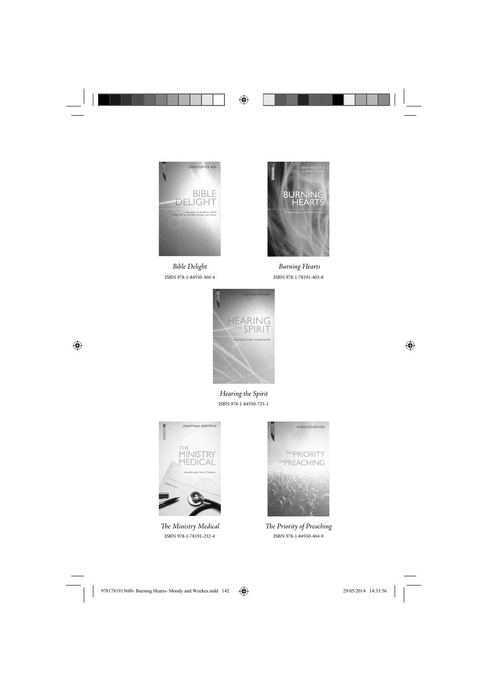

Bible Delight Burning Hearts

 $\bigoplus$ 



ISBN 978-1-84550-360-4 ISBN 978-1-78191-403-8



 $\bigoplus$ 

Hearing the Spirit ISBN 978-1-84550-725-1



The Ministry Medical ISBN 978-1-78191-232-4



The Priority of Preaching ISBN 978-1-84550-464-9



 $\bigoplus$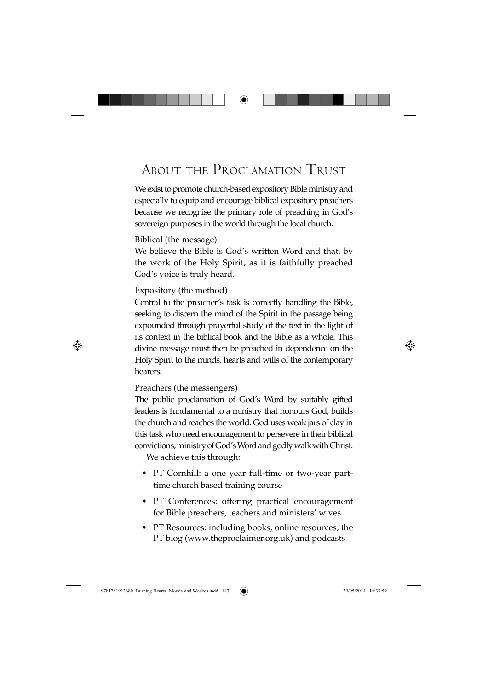# ABOUT THE PROCLAMATION TRUST

⊕

We exist to promote church-based expository Bible ministry and especially to equip and encourage biblical expository preachers because we recognise the primary role of preaching in God's sovereign purposes in the world through the local church.

#### Biblical (the message)

We believe the Bible is God's written Word and that, by the work of the Holy Spirit, as it is faithfully preached God's voice is truly heard.

#### Expository (the method)

⊕

Central to the preacher's task is correctly handling the Bible, seeking to discern the mind of the Spirit in the passage being expounded through prayerful study of the text in the light of its context in the biblical book and the Bible as a whole. This divine message must then be preached in dependence on the Holy Spirit to the minds, hearts and wills of the contemporary hearers.

#### Preachers (the messengers)

The public proclamation of God's Word by suitably gifted leaders is fundamental to a ministry that honours God, builds the church and reaches the world. God uses weak jars of clay in this task who need encouragement to persevere in their biblical convictions, ministry of God's Word and godly walk with Christ.

We achieve this through:

- PT Cornhill: a one year full-time or two-year parttime church based training course
- PT Conferences: offering practical encouragement for Bible preachers, teachers and ministers' wives
- PT Resources: including books, online resources, the PT blog (www.theproclaimer.org.uk) and podcasts